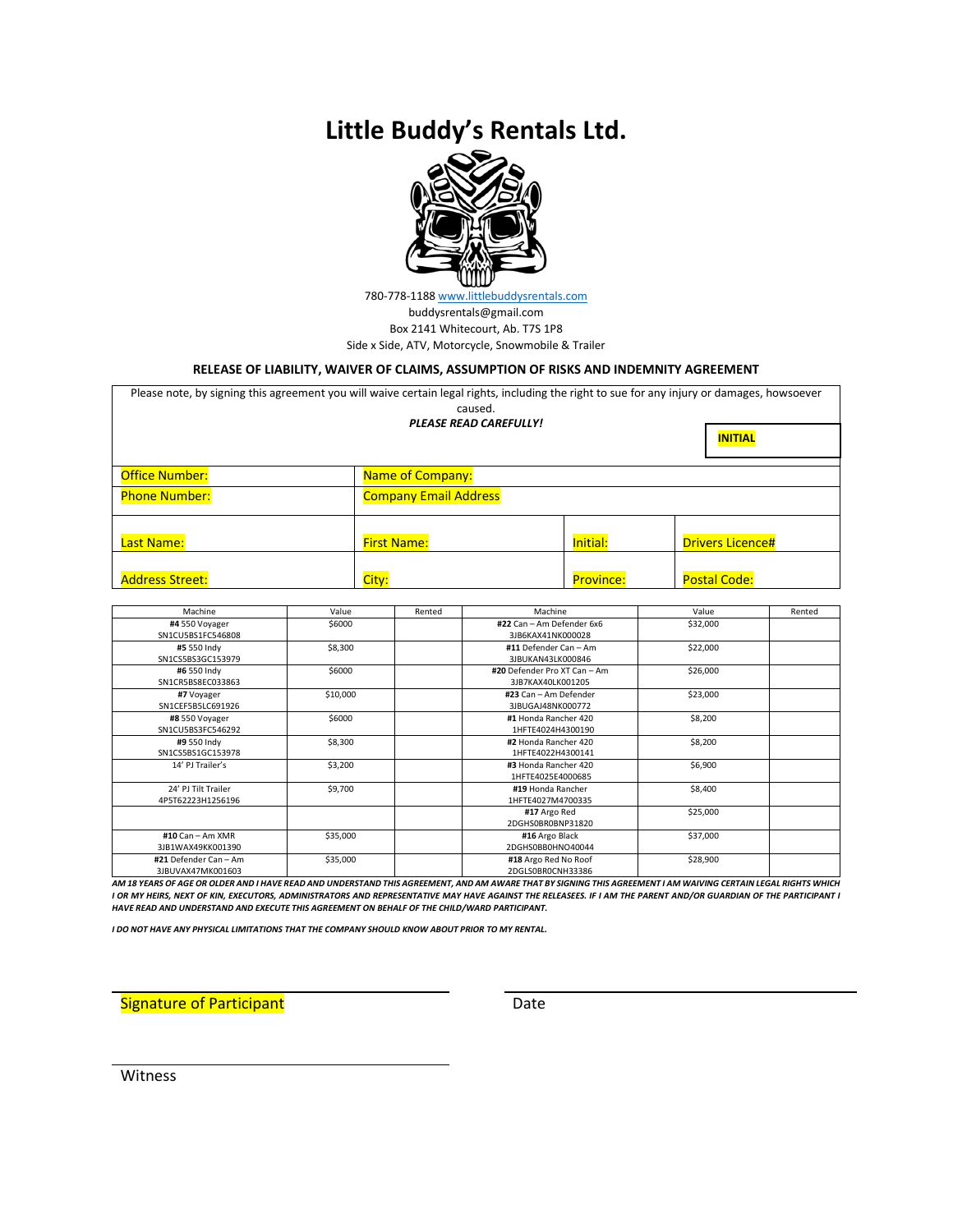# **Little Buddy's Rentals Ltd.**



780-778-1188 [www.littlebuddysrentals.com](about:blank)  buddysrentals@gmail.com Box 2141 Whitecourt, Ab. T7S 1P8 Side x Side, ATV, Motorcycle, Snowmobile & Trailer

#### **RELEASE OF LIABILITY, WAIVER OF CLAIMS, ASSUMPTION OF RISKS AND INDEMNITY AGREEMENT**

| Please note, by signing this agreement you will waive certain legal rights, including the right to sue for any injury or damages, howsoever | caused.<br><b>PLEASE READ CAREFULLY!</b> |                  |                         |  |  |  |
|---------------------------------------------------------------------------------------------------------------------------------------------|------------------------------------------|------------------|-------------------------|--|--|--|
|                                                                                                                                             |                                          |                  |                         |  |  |  |
| <b>Office Number:</b>                                                                                                                       | <b>Name of Company:</b>                  |                  |                         |  |  |  |
| <b>Phone Number:</b>                                                                                                                        | <b>Company Email Address</b>             |                  |                         |  |  |  |
| Last Name:                                                                                                                                  | <b>First Name:</b>                       | Initial:         | <b>Drivers Licence#</b> |  |  |  |
| <b>Address Street:</b>                                                                                                                      | City:                                    | <b>Province:</b> | <b>Postal Code:</b>     |  |  |  |

| Value    | Rented | Machine                      | Value    | Rented                                                                                                                                                         |
|----------|--------|------------------------------|----------|----------------------------------------------------------------------------------------------------------------------------------------------------------------|
| \$6000   |        | #22 Can - Am Defender 6x6    | \$32,000 |                                                                                                                                                                |
|          |        | 3JB6KAX41NK000028            |          |                                                                                                                                                                |
| \$8,300  |        | #11 Defender Can - Am        | \$22,000 |                                                                                                                                                                |
|          |        | 3JBUKAN43LK000846            |          |                                                                                                                                                                |
| \$6000   |        | #20 Defender Pro XT Can - Am | \$26,000 |                                                                                                                                                                |
|          |        | 3JB7KAX40LK001205            |          |                                                                                                                                                                |
| \$10,000 |        | #23 Can - Am Defender        | \$23,000 |                                                                                                                                                                |
|          |        | 3JBUGAJ48NK000772            |          |                                                                                                                                                                |
| \$6000   |        | #1 Honda Rancher 420         | \$8,200  |                                                                                                                                                                |
|          |        | 1HFTE4024H4300190            |          |                                                                                                                                                                |
| \$8,300  |        | #2 Honda Rancher 420         | \$8,200  |                                                                                                                                                                |
|          |        | 1HFTE4022H4300141            |          |                                                                                                                                                                |
| \$3,200  |        | #3 Honda Rancher 420         | \$6,900  |                                                                                                                                                                |
|          |        | 1HFTE4025E4000685            |          |                                                                                                                                                                |
| \$9,700  |        | #19 Honda Rancher            | \$8,400  |                                                                                                                                                                |
|          |        | 1HFTE4027M4700335            |          |                                                                                                                                                                |
|          |        | #17 Argo Red                 | \$25,000 |                                                                                                                                                                |
|          |        | 2DGHS0BR0BNP31820            |          |                                                                                                                                                                |
| \$35,000 |        | #16 Argo Black               | \$37,000 |                                                                                                                                                                |
|          |        | 2DGHS0BB0HNO40044            |          |                                                                                                                                                                |
| \$35,000 |        | #18 Argo Red No Roof         | \$28,900 |                                                                                                                                                                |
|          |        | 2DGLS0BR0CNH33386            |          |                                                                                                                                                                |
|          |        |                              |          | AM 18 YEARS OF AGE OR OLDER AND I HAVE READ AND UNDERSTAND THIS AGREEMENT, AND AM AWARE THAT BY SIGNING THIS AGREEMENT I AM WAIVING CERTAIN LEGAL RIGHTS WHICH |

*I OR MY HEIRS, NEXT OF KIN, EXECUTORS, ADMINISTRATORS AND REPRESENTATIVE MAY HAVE AGAINST THE RELEASEES. IF I AM THE PARENT AND/OR GUARDIAN OF THE PARTICIPANT I HAVE READ AND UNDERSTAND AND EXECUTE THIS AGREEMENT ON BEHALF OF THE CHILD/WARD PARTICIPANT.*

*I DO NOT HAVE ANY PHYSICAL LIMITATIONS THAT THE COMPANY SHOULD KNOW ABOUT PRIOR TO MY RENTAL.*

Signature of Participant **Date** Date Date

Witness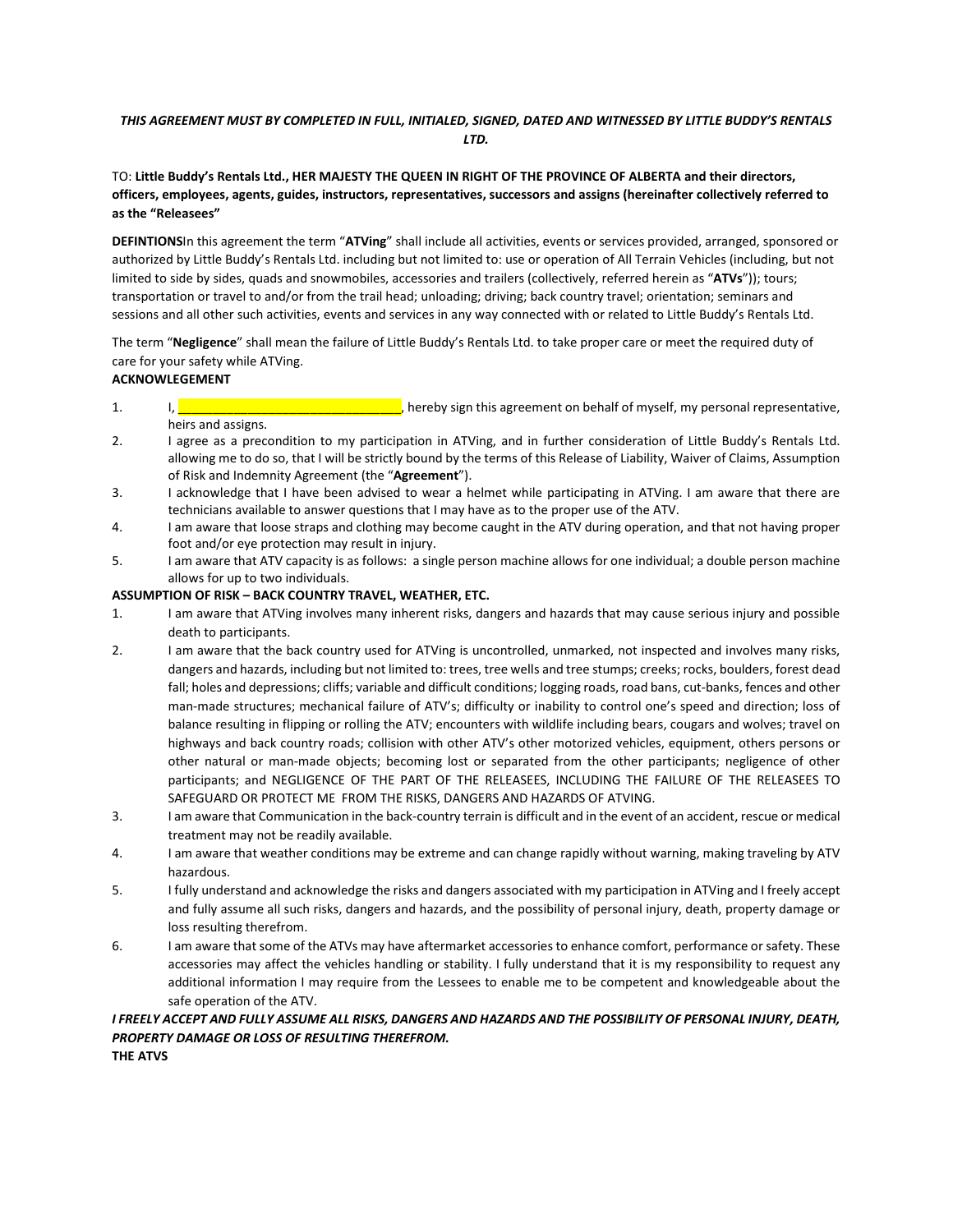## *THIS AGREEMENT MUST BY COMPLETED IN FULL, INITIALED, SIGNED, DATED AND WITNESSED BY LITTLE BUDDY'S RENTALS LTD.*

## TO: **Little Buddy's Rentals Ltd., HER MAJESTY THE QUEEN IN RIGHT OF THE PROVINCE OF ALBERTA and their directors, officers, employees, agents, guides, instructors, representatives, successors and assigns (hereinafter collectively referred to as the "Releasees"**

**DEFINTIONS**In this agreement the term "**ATVing**" shall include all activities, events or services provided, arranged, sponsored or authorized by Little Buddy's Rentals Ltd. including but not limited to: use or operation of All Terrain Vehicles (including, but not limited to side by sides, quads and snowmobiles, accessories and trailers (collectively, referred herein as "**ATVs**")); tours; transportation or travel to and/or from the trail head; unloading; driving; back country travel; orientation; seminars and sessions and all other such activities, events and services in any way connected with or related to Little Buddy's Rentals Ltd.

The term "**Negligence**" shall mean the failure of Little Buddy's Rentals Ltd. to take proper care or meet the required duty of care for your safety while ATVing.

# **ACKNOWLEGEMENT**

- 1. I,  $\blacksquare$ heirs and assigns.
- 2. I agree as a precondition to my participation in ATVing, and in further consideration of Little Buddy's Rentals Ltd. allowing me to do so, that I will be strictly bound by the terms of this Release of Liability, Waiver of Claims, Assumption of Risk and Indemnity Agreement (the "**Agreement**").
- 3. I acknowledge that I have been advised to wear a helmet while participating in ATVing. I am aware that there are technicians available to answer questions that I may have as to the proper use of the ATV.
- 4. I am aware that loose straps and clothing may become caught in the ATV during operation, and that not having proper foot and/or eye protection may result in injury.
- 5. I am aware that ATV capacity is as follows: a single person machine allows for one individual; a double person machine allows for up to two individuals.

## **ASSUMPTION OF RISK – BACK COUNTRY TRAVEL, WEATHER, ETC.**

- 1. I am aware that ATVing involves many inherent risks, dangers and hazards that may cause serious injury and possible death to participants.
- 2. I am aware that the back country used for ATVing is uncontrolled, unmarked, not inspected and involves many risks, dangers and hazards, including but not limited to: trees, tree wells and tree stumps; creeks; rocks, boulders, forest dead fall; holes and depressions; cliffs; variable and difficult conditions; logging roads, road bans, cut-banks, fences and other man-made structures; mechanical failure of ATV's; difficulty or inability to control one's speed and direction; loss of balance resulting in flipping or rolling the ATV; encounters with wildlife including bears, cougars and wolves; travel on highways and back country roads; collision with other ATV's other motorized vehicles, equipment, others persons or other natural or man-made objects; becoming lost or separated from the other participants; negligence of other participants; and NEGLIGENCE OF THE PART OF THE RELEASEES, INCLUDING THE FAILURE OF THE RELEASEES TO SAFEGUARD OR PROTECT ME FROM THE RISKS, DANGERS AND HAZARDS OF ATVING.
- 3. I am aware that Communication in the back-country terrain is difficult and in the event of an accident, rescue or medical treatment may not be readily available.
- 4. I am aware that weather conditions may be extreme and can change rapidly without warning, making traveling by ATV hazardous.
- 5. I fully understand and acknowledge the risks and dangers associated with my participation in ATVing and I freely accept and fully assume all such risks, dangers and hazards, and the possibility of personal injury, death, property damage or loss resulting therefrom.
- 6. I am aware that some of the ATVs may have aftermarket accessories to enhance comfort, performance or safety. These accessories may affect the vehicles handling or stability. I fully understand that it is my responsibility to request any additional information I may require from the Lessees to enable me to be competent and knowledgeable about the safe operation of the ATV.

#### *I FREELY ACCEPT AND FULLY ASSUME ALL RISKS, DANGERS AND HAZARDS AND THE POSSIBILITY OF PERSONAL INJURY, DEATH, PROPERTY DAMAGE OR LOSS OF RESULTING THEREFROM.* **THE ATVS**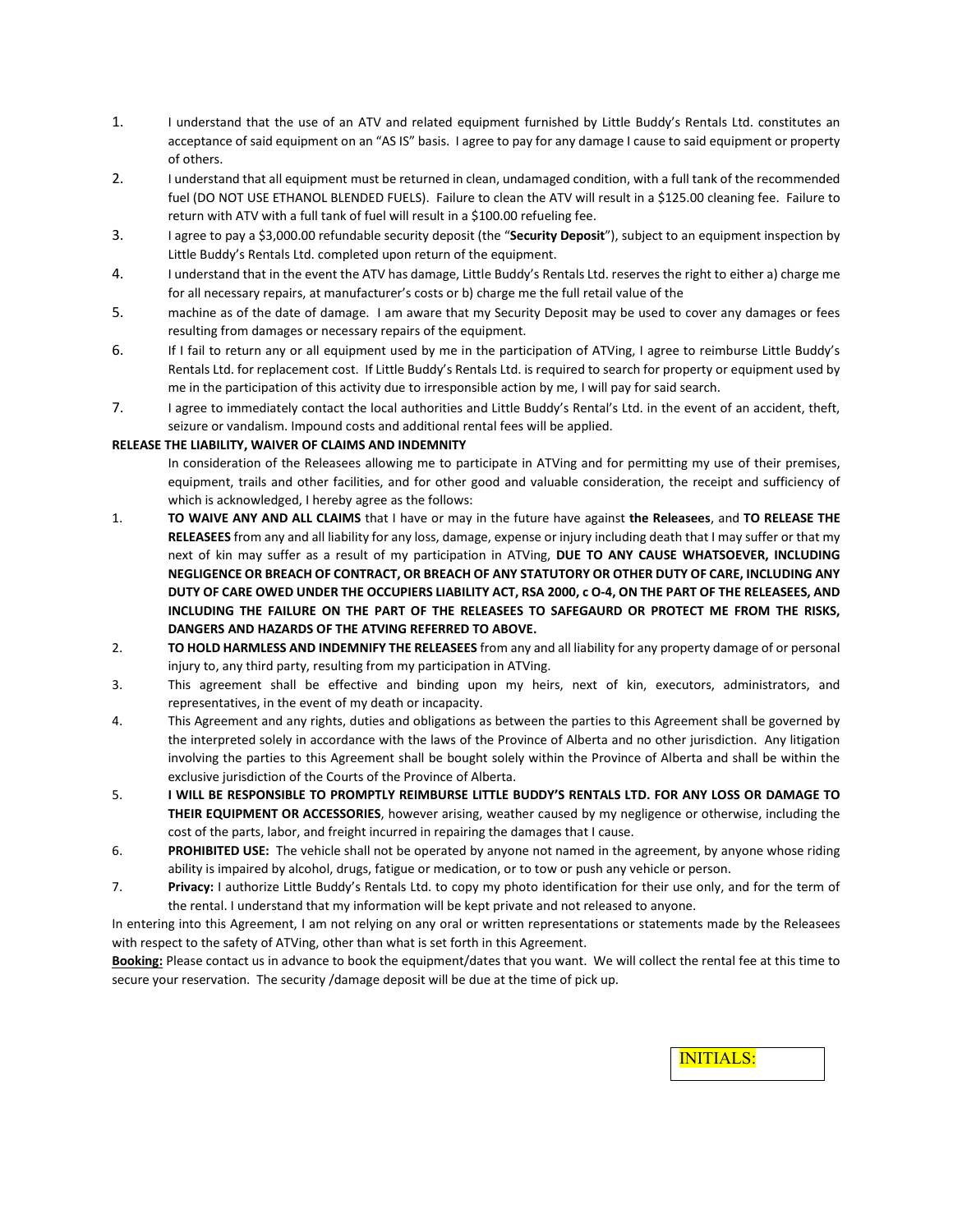- 1. I understand that the use of an ATV and related equipment furnished by Little Buddy's Rentals Ltd. constitutes an acceptance of said equipment on an "AS IS" basis. I agree to pay for any damage I cause to said equipment or property of others.
- 2. I understand that all equipment must be returned in clean, undamaged condition, with a full tank of the recommended fuel (DO NOT USE ETHANOL BLENDED FUELS). Failure to clean the ATV will result in a \$125.00 cleaning fee. Failure to return with ATV with a full tank of fuel will result in a \$100.00 refueling fee.
- 3. I agree to pay a \$3,000.00 refundable security deposit (the "**Security Deposit**"), subject to an equipment inspection by Little Buddy's Rentals Ltd. completed upon return of the equipment.
- 4. I understand that in the event the ATV has damage, Little Buddy's Rentals Ltd. reserves the right to either a) charge me for all necessary repairs, at manufacturer's costs or b) charge me the full retail value of the
- 5. machine as of the date of damage. I am aware that my Security Deposit may be used to cover any damages or fees resulting from damages or necessary repairs of the equipment.
- 6. If I fail to return any or all equipment used by me in the participation of ATVing, I agree to reimburse Little Buddy's Rentals Ltd. for replacement cost. If Little Buddy's Rentals Ltd. is required to search for property or equipment used by me in the participation of this activity due to irresponsible action by me, I will pay for said search.
- 7. I agree to immediately contact the local authorities and Little Buddy's Rental's Ltd. in the event of an accident, theft, seizure or vandalism. Impound costs and additional rental fees will be applied.

## **RELEASE THE LIABILITY, WAIVER OF CLAIMS AND INDEMNITY**

In consideration of the Releasees allowing me to participate in ATVing and for permitting my use of their premises, equipment, trails and other facilities, and for other good and valuable consideration, the receipt and sufficiency of which is acknowledged, I hereby agree as the follows:

- 1. **TO WAIVE ANY AND ALL CLAIMS** that I have or may in the future have against **the Releasees**, and **TO RELEASE THE RELEASEES** from any and all liability for any loss, damage, expense or injury including death that I may suffer or that my next of kin may suffer as a result of my participation in ATVing, **DUE TO ANY CAUSE WHATSOEVER, INCLUDING NEGLIGENCE OR BREACH OF CONTRACT, OR BREACH OF ANY STATUTORY OR OTHER DUTY OF CARE, INCLUDING ANY DUTY OF CARE OWED UNDER THE OCCUPIERS LIABILITY ACT, RSA 2000, c O-4, ON THE PART OF THE RELEASEES, AND INCLUDING THE FAILURE ON THE PART OF THE RELEASEES TO SAFEGAURD OR PROTECT ME FROM THE RISKS, DANGERS AND HAZARDS OF THE ATVING REFERRED TO ABOVE.**
- 2. **TO HOLD HARMLESS AND INDEMNIFY THE RELEASEES** from any and all liability for any property damage of or personal injury to, any third party, resulting from my participation in ATVing.
- 3. This agreement shall be effective and binding upon my heirs, next of kin, executors, administrators, and representatives, in the event of my death or incapacity.
- 4. This Agreement and any rights, duties and obligations as between the parties to this Agreement shall be governed by the interpreted solely in accordance with the laws of the Province of Alberta and no other jurisdiction.Any litigation involving the parties to this Agreement shall be bought solely within the Province of Alberta and shall be within the exclusive jurisdiction of the Courts of the Province of Alberta.
- 5. **I WILL BE RESPONSIBLE TO PROMPTLY REIMBURSE LITTLE BUDDY'S RENTALS LTD. FOR ANY LOSS OR DAMAGE TO THEIR EQUIPMENT OR ACCESSORIES**, however arising, weather caused by my negligence or otherwise, including the cost of the parts, labor, and freight incurred in repairing the damages that I cause.
- 6. **PROHIBITED USE:** The vehicle shall not be operated by anyone not named in the agreement, by anyone whose riding ability is impaired by alcohol, drugs, fatigue or medication, or to tow or push any vehicle or person.
- 7. **Privacy:** I authorize Little Buddy's Rentals Ltd. to copy my photo identification for their use only, and for the term of the rental. I understand that my information will be kept private and not released to anyone.

In entering into this Agreement, I am not relying on any oral or written representations or statements made by the Releasees with respect to the safety of ATVing, other than what is set forth in this Agreement.

**Booking:** Please contact us in advance to book the equipment/dates that you want. We will collect the rental fee at this time to secure your reservation. The security /damage deposit will be due at the time of pick up.

INITIALS: